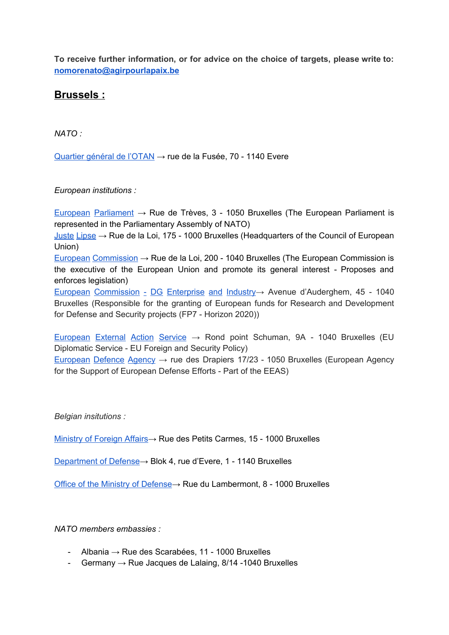**To receive further information, or for advice on the choice of targets, please write to: [nomorenato@agirpourlapaix.be](mailto:nomorenato@agirpourlapaix.be)**

## **Brussels :**

*NATO :*

[Quartier](http://www.nato.int/cps/fr/natohq/index.htm) général de l'OTAN → rue de la Fusée, 70 - 1140 Evere

*European institutions :*

European [Parliament](http://www.europarl.europa.eu/portal/en)  $\rightarrow$  Rue de Trèves, 3 - 1050 Bruxelles (The European Parliament is represented in the Parliamentary Assembly of NATO)

 $Just$ e [Lipse](http://www.consilium.europa.eu/en/home/)  $\rightarrow$  Rue de la Loi, 175 - 1000 Bruxelles (Headquarters of the Council of European Union)

European [Commission](https://ec.europa.eu/commission/index_en)  $\rightarrow$  Rue de la Loi, 200 - 1040 Bruxelles (The European Commission is the executive of the European Union and promote its general interest - Proposes and enforces legislation)

European [Commission](http://ec.europa.eu/growth/) - DG Enterprise and Industry→ Avenue d'Auderghem, 45 - 1040 Bruxelles (Responsible for the granting of European funds for Research and Development for Defense and Security projects (FP7 - Horizon 2020))

[European](https://eeas.europa.eu/headquarters/headquarters-homepage_en) External Action Service  $\rightarrow$  Rond point Schuman, 9A - 1040 Bruxelles (EU Diplomatic Service - EU Foreign and Security Policy)

[European](https://www.eda.europa.eu/) Defence Agency → rue des Drapiers 17/23 - 1050 Bruxelles (European Agency for the Support of European Defense Efforts - Part of the EEAS)

*Belgian insitutions :*

[Ministry](https://diplomatie.belgium.be/en) of Foreign Affairs→ Rue des Petits Carmes, 15 - 1000 Bruxelles

[Department](http://www.mil.be/fr) of Defense→ Blok 4, rue d'Evere, 1 - 1140 Bruxelles

Office of the Ministry of [Defense→](http://www.vandeput.fgov.be/en/cabinet-minister-defence) Rue du Lambermont, 8 - 1000 Bruxelles

*NATO members embassies :*

- Albania → Rue des Scarabées, 11 1000 Bruxelles
- Germany  $\rightarrow$  Rue Jacques de Lalaing, 8/14 -1040 Bruxelles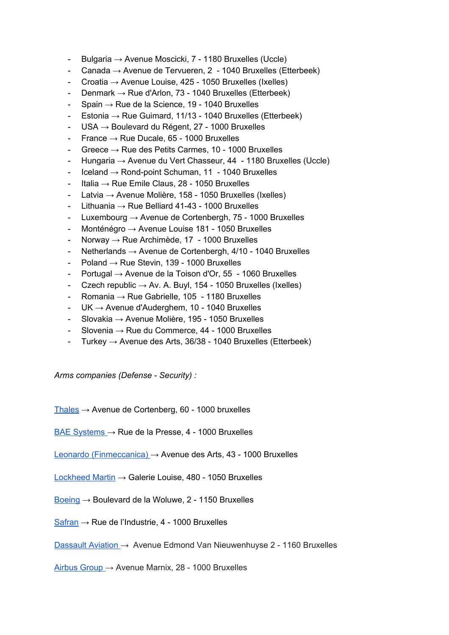- Bulgaria → Avenue Moscicki, 7 1180 Bruxelles (Uccle)
- Canada  $\rightarrow$  Avenue de Tervueren, 2 1040 Bruxelles (Etterbeek)
- Croatia  $\rightarrow$  Avenue Louise, 425 1050 Bruxelles (Ixelles)
- Denmark  $\rightarrow$  Rue d'Arlon, 73 1040 Bruxelles (Etterbeek)
- Spain  $\rightarrow$  Rue de la Science, 19 1040 Bruxelles
- Estonia  $\rightarrow$  Rue Guimard, 11/13 1040 Bruxelles (Etterbeek)
- $USA \rightarrow Boulevard du Régent, 27 1000 Bruxelles$
- France  $\rightarrow$  Rue Ducale, 65 1000 Bruxelles
- Greece → Rue des Petits Carmes, 10 1000 Bruxelles
- Hungaria → Avenue du Vert Chasseur, 44 1180 Bruxelles (Uccle)
- $Iceland \rightarrow Rond-point Schuman, 11 1040 Bruxelles$
- Italia  $\rightarrow$  Rue Emile Claus, 28 1050 Bruxelles
- Latvia → Avenue Molière, 158 1050 Bruxelles (Ixelles)
- Lithuania  $\rightarrow$  Rue Belliard 41-43 1000 Bruxelles
- Luxembourg  $\rightarrow$  Avenue de Cortenbergh, 75 1000 Bruxelles
- Monténégro → Avenue Louise 181 1050 Bruxelles
- Norway → Rue Archimède, 17 1000 Bruxelles
- Netherlands  $\rightarrow$  Avenue de Cortenbergh, 4/10 1040 Bruxelles
- Poland  $\rightarrow$  Rue Stevin, 139 1000 Bruxelles
- Portugal  $\rightarrow$  Avenue de la Toison d'Or, 55 1060 Bruxelles
- Czech republic  $\rightarrow$  Av. A. Buyl, 154 1050 Bruxelles (Ixelles)
- Romania  $\rightarrow$  Rue Gabrielle, 105 1180 Bruxelles
- $UK \rightarrow$  Avenue d'Auderghem, 10 1040 Bruxelles
- Slovakia → Avenue Molière, 195 1050 Bruxelles
- Slovenia  $\rightarrow$  Rue du Commerce, 44 1000 Bruxelles
- Turkey  $\rightarrow$  Avenue des Arts, 36/38 1040 Bruxelles (Etterbeek)

*Arms companies (Defense - Security) :*

 $Thales  $\rightarrow$  Avenue de Cortenberg, 60 - 1000 bruxelles$  $Thales  $\rightarrow$  Avenue de Cortenberg, 60 - 1000 bruxelles$  $Thales  $\rightarrow$  Avenue de Cortenberg, 60 - 1000 bruxelles$ </u>

BAE [Systems](http://www.baesystems.com/en/home)  $\rightarrow$  Rue de la Presse, 4 - 1000 Bruxelles

Leonardo [\(Finmeccanica\)](http://www.leonardocompany.com/en) → Avenue des Arts, 43 - 1000 Bruxelles

- [Lockheed](http://www.lockheedmartin.com/us.html) Martin → Galerie Louise, 480 1050 Bruxelles
- [Boeing](http://www.boeing.com/)  $\rightarrow$  Boulevard de la Woluwe, 2 1150 Bruxelles
- $Safran \rightarrow Rue$  $Safran \rightarrow Rue$  de l'Industrie, 4 1000 Bruxelles

[Dassault](http://www.dassault-aviation.com/fr/) Aviation → Avenue Edmond Van Nieuwenhuyse 2 - 1160 Bruxelles

[Airbus](http://www.airbusgroup.com/int/en.html) Group → Avenue Marnix, 28 - 1000 Bruxelles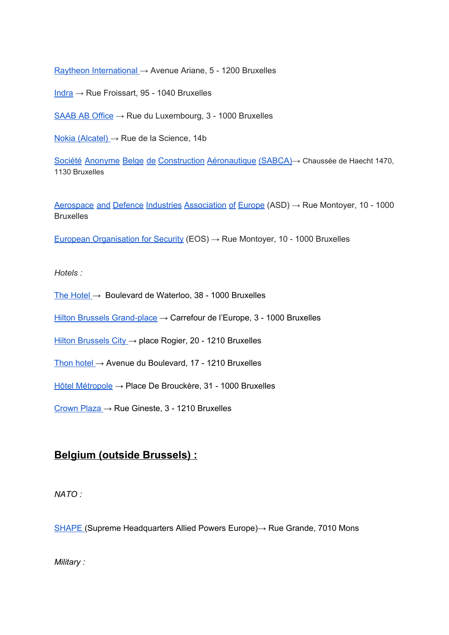Raytheon [International](http://www.raytheon.com/ourcompany/global/) → Avenue Ariane, 5 - 1200 Bruxelles

 $Indra  $\rightarrow$  Rue Froissart, 95 - 1040 Bruxelles$  $Indra  $\rightarrow$  Rue Froissart, 95 - 1040 Bruxelles$  $Indra  $\rightarrow$  Rue Froissart, 95 - 1040 Bruxelles$ </u>

 $SABAB$  AB Office  $\rightarrow$  Rue du Luxembourg, 3 - 1000 Bruxelles

Nokia [\(Alcatel\)](http://www.nokia.com/nl_int) → Rue de la Science, 14b

Société Anonyme Belge de Construction [Aéronautique](http://www.sabca.be/pages/012/Home.en.php) (SABCA)→ Chaussée de Haecht 1470, 1130 Bruxelles

Aerospace and Defence Industries [Association](http://www.asd-europe.org/home/) of Europe (ASD) → Rue Montoyer, 10 - 1000 **Bruxelles** 

European [Organisation](http://www.eos-eu.com/default.aspx?page=home) for Security (EOS)  $\rightarrow$  Rue Montoyer, 10 - 1000 Bruxelles

*Hotels :*

The [Hotel](http://www.thehotel-brussels.be/fr/accueil.html) → Boulevard de Waterloo, 38 - 1000 Bruxelles

Hilton Brussels [Grand-place](http://www.hiltonhotels.com/fr_FR/belgique/hilton-brussels-grand-place/) → Carrefour de l'Europe, 3 - 1000 Bruxelles

Hilton [Brussels](http://www.hiltonhotels.com/fr_FR/belgique/hilton-brussels-city/) City → place Rogier, 20 - 1210 Bruxelles

[Thon](https://www.thonhotels.com/hotels/belgium/brussels/thon-hotel-brussels-city-centre/?utm_source=google&utm_medium=infoboks&utm_campaign=GMB) hotel  $\rightarrow$  Avenue du Boulevard, 17 - 1210 Bruxelles

Hôtel [Métropole](http://www.metropolehotel.com/fr) → Place De Brouckère, 31 - 1000 Bruxelles

[Crown](https://www.ihg.com/crowneplaza/hotels/us/en/brussels/brube/hoteldetail?cm_mmc=GoogleMaps-_-CP-_-BEL-_-BRUBE) Plaza → Rue Gineste, 3 - 1210 Bruxelles

## **Belgium (outside Brussels) :**

*NATO :*

[SHAPE](http://www.shape.nato.int/) (Supreme Headquarters Allied Powers Europe) → Rue Grande, 7010 Mons

*Military :*